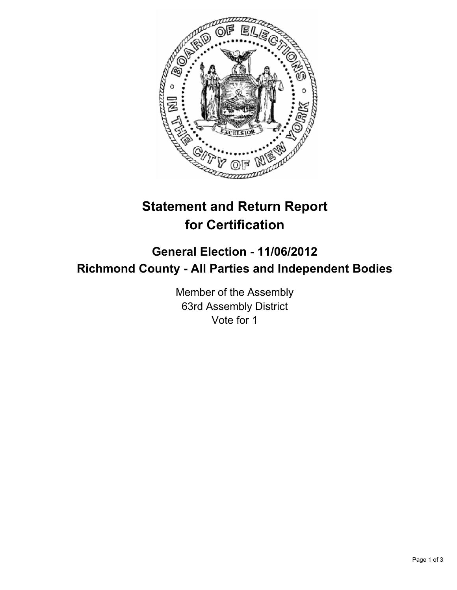

## **Statement and Return Report for Certification**

## **General Election - 11/06/2012 Richmond County - All Parties and Independent Bodies**

Member of the Assembly 63rd Assembly District Vote for 1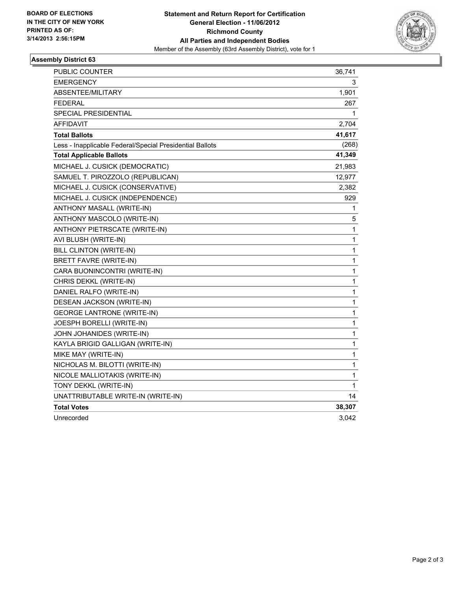

## **Assembly District 63**

| PUBLIC COUNTER                                           | 36,741       |
|----------------------------------------------------------|--------------|
| EMERGENCY                                                | 3            |
| ABSENTEE/MILITARY                                        | 1,901        |
| <b>FEDERAL</b>                                           | 267          |
| SPECIAL PRESIDENTIAL                                     | 1            |
| <b>AFFIDAVIT</b>                                         | 2,704        |
| <b>Total Ballots</b>                                     | 41,617       |
| Less - Inapplicable Federal/Special Presidential Ballots | (268)        |
| <b>Total Applicable Ballots</b>                          | 41,349       |
| MICHAEL J. CUSICK (DEMOCRATIC)                           | 21,983       |
| SAMUEL T. PIROZZOLO (REPUBLICAN)                         | 12,977       |
| MICHAEL J. CUSICK (CONSERVATIVE)                         | 2,382        |
| MICHAEL J. CUSICK (INDEPENDENCE)                         | 929          |
| ANTHONY MASALL (WRITE-IN)                                | 1            |
| ANTHONY MASCOLO (WRITE-IN)                               | 5            |
| ANTHONY PIETRSCATE (WRITE-IN)                            | $\mathbf{1}$ |
| AVI BLUSH (WRITE-IN)                                     | 1            |
| BILL CLINTON (WRITE-IN)                                  | 1            |
| BRETT FAVRE (WRITE-IN)                                   | 1            |
| CARA BUONINCONTRI (WRITE-IN)                             | 1            |
| CHRIS DEKKL (WRITE-IN)                                   | 1            |
| DANIEL RALFO (WRITE-IN)                                  | 1            |
| DESEAN JACKSON (WRITE-IN)                                | 1            |
| <b>GEORGE LANTRONE (WRITE-IN)</b>                        | 1            |
| JOESPH BORELLI (WRITE-IN)                                | 1            |
| JOHN JOHANIDES (WRITE-IN)                                | 1            |
| KAYLA BRIGID GALLIGAN (WRITE-IN)                         | 1            |
| MIKE MAY (WRITE-IN)                                      | 1            |
| NICHOLAS M. BILOTTI (WRITE-IN)                           | 1            |
| NICOLE MALLIOTAKIS (WRITE-IN)                            | 1            |
| TONY DEKKL (WRITE-IN)                                    | 1            |
| UNATTRIBUTABLE WRITE-IN (WRITE-IN)                       | 14           |
| <b>Total Votes</b>                                       | 38,307       |
| Unrecorded                                               | 3.042        |